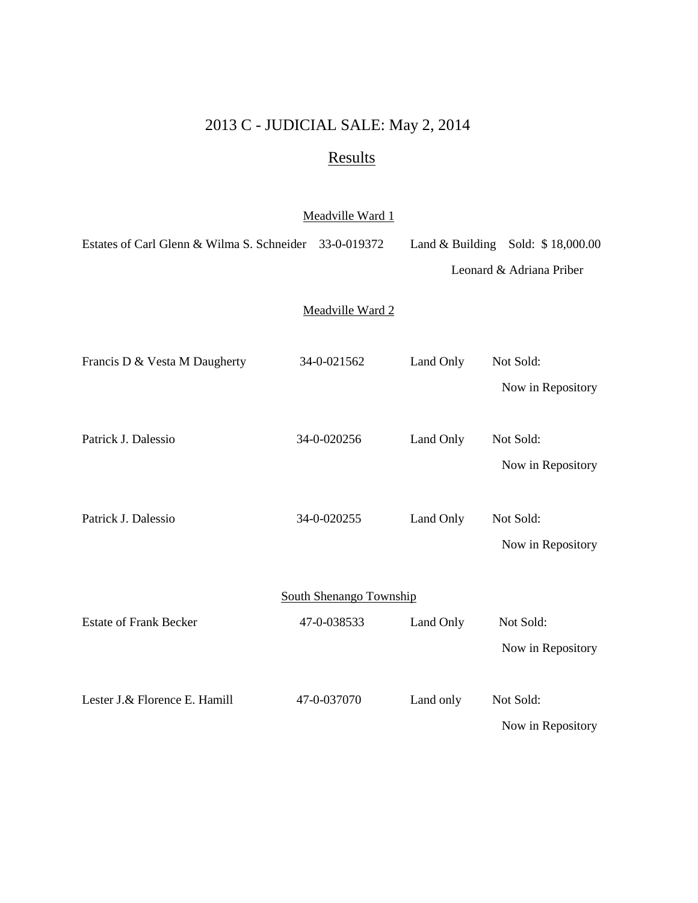## 2013 C - JUDICIAL SALE: May 2, 2014

## Results

## Meadville Ward 1

| Estates of Carl Glenn & Wilma S. Schneider | 33-0-019372      |           | Land & Building Sold: $$18,000.00$ |  |  |  |
|--------------------------------------------|------------------|-----------|------------------------------------|--|--|--|
|                                            |                  |           | Leonard & Adriana Priber           |  |  |  |
|                                            | Meadville Ward 2 |           |                                    |  |  |  |
| Francis D & Vesta M Daugherty              | 34-0-021562      | Land Only | Not Sold:<br>Now in Repository     |  |  |  |
| Patrick J. Dalessio                        | 34-0-020256      | Land Only | Not Sold:<br>Now in Repository     |  |  |  |
| Patrick J. Dalessio                        | 34-0-020255      | Land Only | Not Sold:<br>Now in Repository     |  |  |  |
| <b>South Shenango Township</b>             |                  |           |                                    |  |  |  |
| <b>Estate of Frank Becker</b>              | 47-0-038533      | Land Only | Not Sold:<br>Now in Repository     |  |  |  |
| Lester J.& Florence E. Hamill              | 47-0-037070      | Land only | Not Sold:<br>Now in Repository     |  |  |  |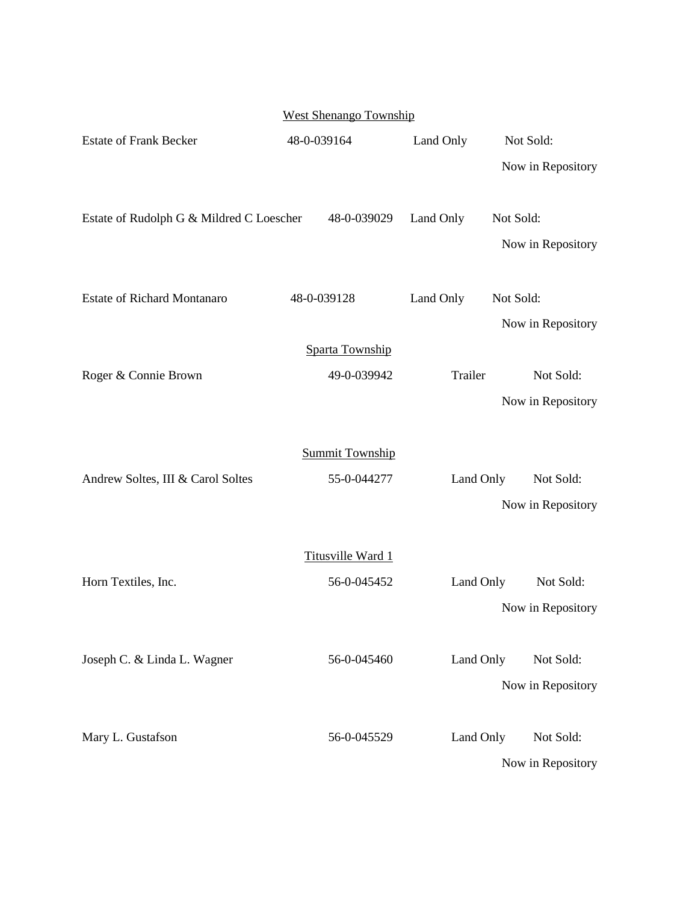| <b>West Shenango Township</b>            |                        |           |                                |  |  |  |
|------------------------------------------|------------------------|-----------|--------------------------------|--|--|--|
| <b>Estate of Frank Becker</b>            | 48-0-039164            | Land Only | Not Sold:                      |  |  |  |
|                                          |                        |           | Now in Repository              |  |  |  |
| Estate of Rudolph G & Mildred C Loescher | 48-0-039029            | Land Only | Not Sold:                      |  |  |  |
|                                          |                        |           | Now in Repository              |  |  |  |
| <b>Estate of Richard Montanaro</b>       | 48-0-039128            | Land Only | Not Sold:                      |  |  |  |
|                                          |                        |           | Now in Repository              |  |  |  |
|                                          | Sparta Township        |           |                                |  |  |  |
| Roger & Connie Brown                     | 49-0-039942            | Trailer   | Not Sold:                      |  |  |  |
|                                          |                        |           | Now in Repository              |  |  |  |
|                                          |                        |           |                                |  |  |  |
|                                          | <b>Summit Township</b> |           |                                |  |  |  |
| Andrew Soltes, III & Carol Soltes        | 55-0-044277            | Land Only | Not Sold:                      |  |  |  |
|                                          |                        |           | Now in Repository              |  |  |  |
|                                          | Titusville Ward 1      |           |                                |  |  |  |
| Horn Textiles, Inc.                      | 56-0-045452            | Land Only | Not Sold:                      |  |  |  |
|                                          |                        |           | Now in Repository              |  |  |  |
| Joseph C. & Linda L. Wagner              | 56-0-045460            | Land Only | Not Sold:                      |  |  |  |
|                                          |                        |           | Now in Repository              |  |  |  |
|                                          |                        |           |                                |  |  |  |
| Mary L. Gustafson                        | 56-0-045529            | Land Only | Not Sold:<br>Now in Repository |  |  |  |
|                                          |                        |           |                                |  |  |  |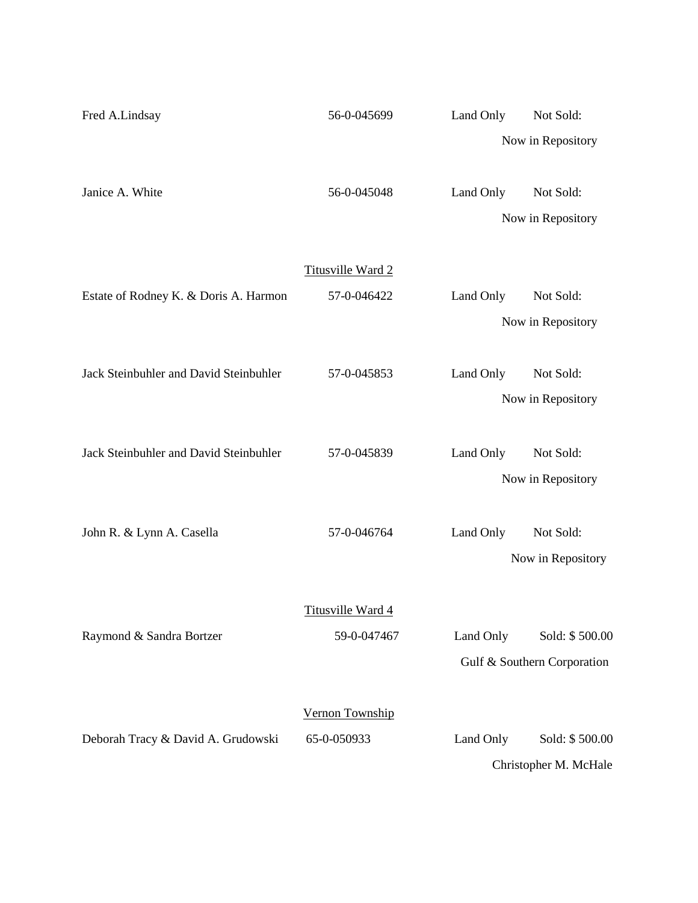| Fred A.Lindsay                         | 56-0-045699       | Land Only | Not Sold:                   |
|----------------------------------------|-------------------|-----------|-----------------------------|
|                                        |                   |           | Now in Repository           |
|                                        |                   |           |                             |
| Janice A. White                        | 56-0-045048       | Land Only | Not Sold:                   |
|                                        |                   |           | Now in Repository           |
|                                        |                   |           |                             |
|                                        | Titusville Ward 2 |           |                             |
| Estate of Rodney K. & Doris A. Harmon  | 57-0-046422       | Land Only | Not Sold:                   |
|                                        |                   |           | Now in Repository           |
|                                        |                   |           |                             |
| Jack Steinbuhler and David Steinbuhler | 57-0-045853       | Land Only | Not Sold:                   |
|                                        |                   |           | Now in Repository           |
| Jack Steinbuhler and David Steinbuhler | 57-0-045839       | Land Only | Not Sold:                   |
|                                        |                   |           | Now in Repository           |
|                                        |                   |           |                             |
| John R. & Lynn A. Casella              | 57-0-046764       | Land Only | Not Sold:                   |
|                                        |                   |           | Now in Repository           |
|                                        |                   |           |                             |
|                                        | Titusville Ward 4 |           |                             |
| Raymond & Sandra Bortzer               | 59-0-047467       | Land Only | Sold: \$500.00              |
|                                        |                   |           | Gulf & Southern Corporation |
|                                        |                   |           |                             |
|                                        | Vernon Township   |           |                             |
| Deborah Tracy & David A. Grudowski     | 65-0-050933       | Land Only | Sold: \$500.00              |
|                                        |                   |           | Christopher M. McHale       |